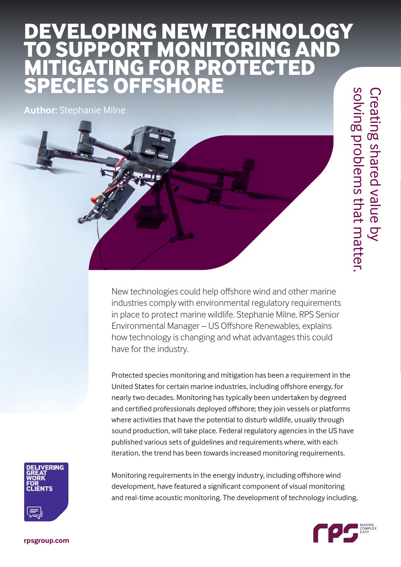## **DEVELOPING NEW TECHNOLOGY TO SUPPORT MONITORING AND MITIGATING FOR PROTECTED SPECIES OFFSHORE**

**Author:** Stephanie Milne

New technologies could help offshore wind and other marine industries comply with environmental regulatory requirements in place to protect marine wildlife. Stephanie Milne, RPS Senior Environmental Manager – US Offshore Renewables, explains how technology is changing and what advantages this could have for the industry.

Protected species monitoring and mitigation has been a requirement in the United States for certain marine industries, including offshore energy, for nearly two decades. Monitoring has typically been undertaken by degreed and certified professionals deployed offshore; they join vessels or platforms where activities that have the potential to disturb wildlife, usually through sound production, will take place. Federal regulatory agencies in the US have published various sets of guidelines and requirements where, with each iteration, the trend has been towards increased monitoring requirements.



Monitoring requirements in the energy industry, including offshore wind development, have featured a significant component of visual monitoring and real-time acoustic monitoring. The development of technology including,



**[rpsgroup.com](https://www.rpsgroup.com)**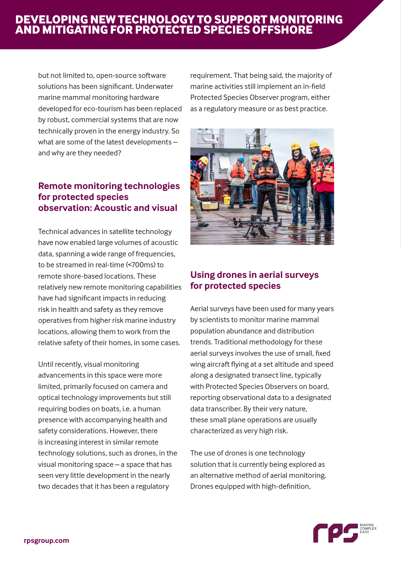but not limited to, open-source software solutions has been significant. Underwater marine mammal monitoring hardware developed for eco-tourism has been replaced by robust, commercial systems that are now technically proven in the energy industry. So what are some of the latest developments – and why are they needed?

## **Remote monitoring technologies for protected species observation: Acoustic and visual**

Technical advances in satellite technology have now enabled large volumes of acoustic data, spanning a wide range of frequencies, to be streamed in real-time (<700ms) to remote shore-based locations. These relatively new remote monitoring capabilities have had significant impacts in reducing risk in health and safety as they remove operatives from higher risk marine industry locations, allowing them to work from the relative safety of their homes, in some cases.

Until recently, visual monitoring advancements in this space were more limited, primarily focused on camera and optical technology improvements but still requiring bodies on boats, i.e. a human presence with accompanying health and safety considerations. However, there is increasing interest in similar remote technology solutions, such as drones, in the visual monitoring space – a space that has seen very little development in the nearly two decades that it has been a regulatory

requirement. That being said, the majority of marine activities still implement an in-field Protected Species Observer program, either as a regulatory measure or as best practice.



## **Using drones in aerial surveys for protected species**

Aerial surveys have been used for many years by scientists to monitor marine mammal population abundance and distribution trends. Traditional methodology for these aerial surveys involves the use of small, fixed wing aircraft flying at a set altitude and speed along a designated transect line, typically with Protected Species Observers on board, reporting observational data to a designated data transcriber. By their very nature, these small plane operations are usually characterized as very high risk.

The use of drones is one technology solution that is currently being explored as an alternative method of aerial monitoring. Drones equipped with high-definition,